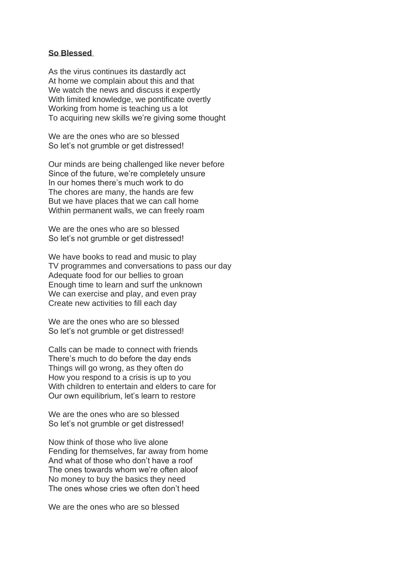## **So Blessed**

As the virus continues its dastardly act At home we complain about this and that We watch the news and discuss it expertly With limited knowledge, we pontificate overtly Working from home is teaching us a lot To acquiring new skills we're giving some thought

We are the ones who are so blessed So let's not grumble or get distressed!

Our minds are being challenged like never before Since of the future, we're completely unsure In our homes there's much work to do The chores are many, the hands are few But we have places that we can call home Within permanent walls, we can freely roam

We are the ones who are so blessed So let's not grumble or get distressed!

We have books to read and music to play TV programmes and conversations to pass our day Adequate food for our bellies to groan Enough time to learn and surf the unknown We can exercise and play, and even pray Create new activities to fill each day

We are the ones who are so blessed So let's not grumble or get distressed!

Calls can be made to connect with friends There's much to do before the day ends Things will go wrong, as they often do How you respond to a crisis is up to you With children to entertain and elders to care for Our own equilibrium, let's learn to restore

We are the ones who are so blessed So let's not grumble or get distressed!

Now think of those who live alone Fending for themselves, far away from home And what of those who don't have a roof The ones towards whom we're often aloof No money to buy the basics they need The ones whose cries we often don't heed

We are the ones who are so blessed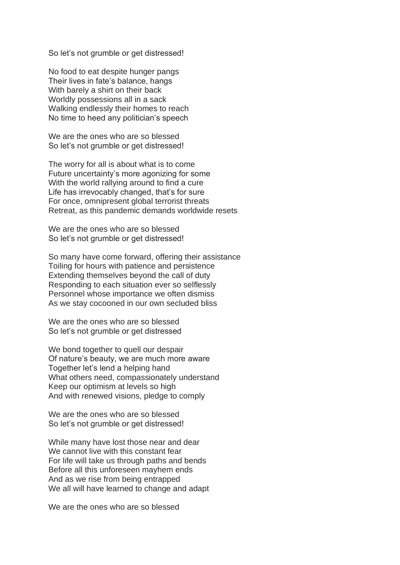So let's not grumble or get distressed!

No food to eat despite hunger pangs Their lives in fate's balance, hangs With barely a shirt on their back Worldly possessions all in a sack Walking endlessly their homes to reach No time to heed any politician's speech

We are the ones who are so blessed So let's not grumble or get distressed!

The worry for all is about what is to come Future uncertainty's more agonizing for some With the world rallying around to find a cure Life has irrevocably changed, that's for sure For once, omnipresent global terrorist threats Retreat, as this pandemic demands worldwide resets

We are the ones who are so blessed So let's not grumble or get distressed!

So many have come forward, offering their assistance Toiling for hours with patience and persistence Extending themselves beyond the call of duty Responding to each situation ever so selflessly Personnel whose importance we often dismiss As we stay cocooned in our own secluded bliss

We are the ones who are so blessed So let's not grumble or get distressed

We bond together to quell our despair Of nature's beauty, we are much more aware Together let's lend a helping hand What others need, compassionately understand Keep our optimism at levels so high And with renewed visions, pledge to comply

We are the ones who are so blessed So let's not grumble or get distressed!

While many have lost those near and dear We cannot live with this constant fear For life will take us through paths and bends Before all this unforeseen mayhem ends And as we rise from being entrapped We all will have learned to change and adapt

We are the ones who are so blessed